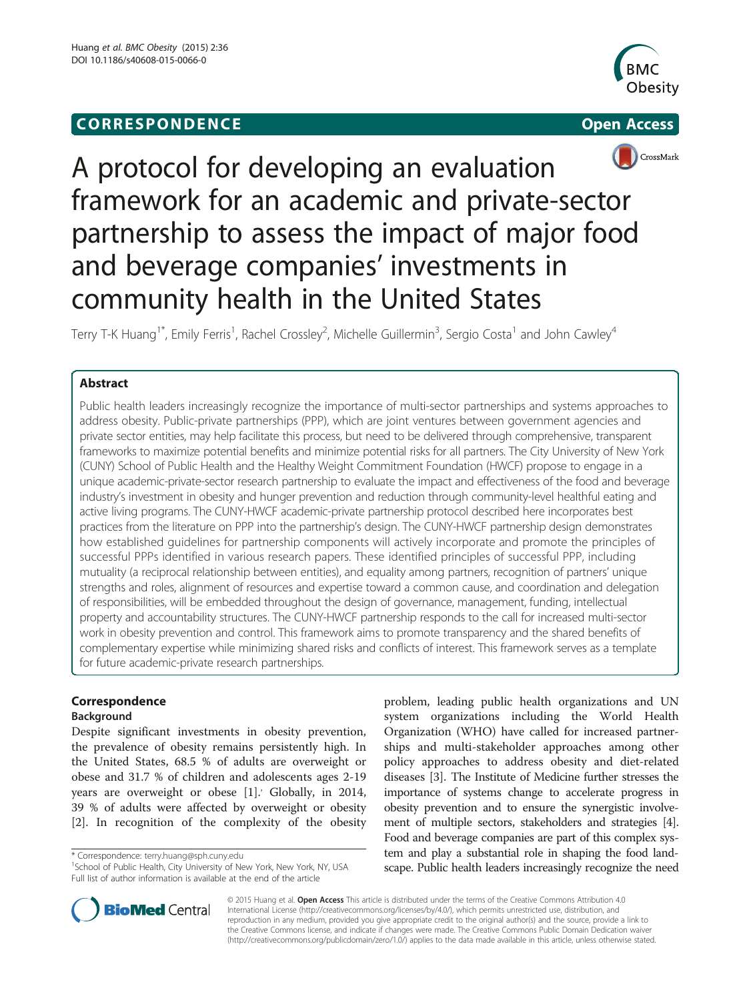# **CORRESPONDENCE CORRESPONDENCE**





# A protocol for developing an evaluation framework for an academic and private-sector partnership to assess the impact of major food and beverage companies' investments in community health in the United States

Terry T-K Huang<sup>1\*</sup>, Emily Ferris<sup>1</sup>, Rachel Crossley<sup>2</sup>, Michelle Guillermin<sup>3</sup>, Sergio Costa<sup>1</sup> and John Cawley<sup>4</sup>

# Abstract

Public health leaders increasingly recognize the importance of multi-sector partnerships and systems approaches to address obesity. Public-private partnerships (PPP), which are joint ventures between government agencies and private sector entities, may help facilitate this process, but need to be delivered through comprehensive, transparent frameworks to maximize potential benefits and minimize potential risks for all partners. The City University of New York (CUNY) School of Public Health and the Healthy Weight Commitment Foundation (HWCF) propose to engage in a unique academic-private-sector research partnership to evaluate the impact and effectiveness of the food and beverage industry's investment in obesity and hunger prevention and reduction through community-level healthful eating and active living programs. The CUNY-HWCF academic-private partnership protocol described here incorporates best practices from the literature on PPP into the partnership's design. The CUNY-HWCF partnership design demonstrates how established guidelines for partnership components will actively incorporate and promote the principles of successful PPPs identified in various research papers. These identified principles of successful PPP, including mutuality (a reciprocal relationship between entities), and equality among partners, recognition of partners' unique strengths and roles, alignment of resources and expertise toward a common cause, and coordination and delegation of responsibilities, will be embedded throughout the design of governance, management, funding, intellectual property and accountability structures. The CUNY-HWCF partnership responds to the call for increased multi-sector work in obesity prevention and control. This framework aims to promote transparency and the shared benefits of complementary expertise while minimizing shared risks and conflicts of interest. This framework serves as a template for future academic-private research partnerships.

# Correspondence

# Background

Despite significant investments in obesity prevention, the prevalence of obesity remains persistently high. In the United States, 68.5 % of adults are overweight or obese and 31.7 % of children and adolescents ages 2-19 years are overweight or obese  $[1]$  $[1]$ . Globally, in 2014, 39 % of adults were affected by overweight or obesity [[2\]](#page-6-0). In recognition of the complexity of the obesity

\* Correspondence: [terry.huang@sph.cuny.edu](mailto:terry.huang@sph.cuny.edu) <sup>1</sup>

problem, leading public health organizations and UN system organizations including the World Health Organization (WHO) have called for increased partnerships and multi-stakeholder approaches among other policy approaches to address obesity and diet-related diseases [[3\]](#page-6-0). The Institute of Medicine further stresses the importance of systems change to accelerate progress in obesity prevention and to ensure the synergistic involvement of multiple sectors, stakeholders and strategies [[4](#page-6-0)]. Food and beverage companies are part of this complex system and play a substantial role in shaping the food landscape. Public health leaders increasingly recognize the need



© 2015 Huang et al. Open Access This article is distributed under the terms of the Creative Commons Attribution 4.0 International License [\(http://creativecommons.org/licenses/by/4.0/](http://creativecommons.org/licenses/by/4.0/)), which permits unrestricted use, distribution, and reproduction in any medium, provided you give appropriate credit to the original author(s) and the source, provide a link to the Creative Commons license, and indicate if changes were made. The Creative Commons Public Domain Dedication waiver [\(http://creativecommons.org/publicdomain/zero/1.0/](http://creativecommons.org/publicdomain/zero/1.0/)) applies to the data made available in this article, unless otherwise stated.

<sup>&</sup>lt;sup>1</sup> School of Public Health, City University of New York, New York, NY, USA Full list of author information is available at the end of the article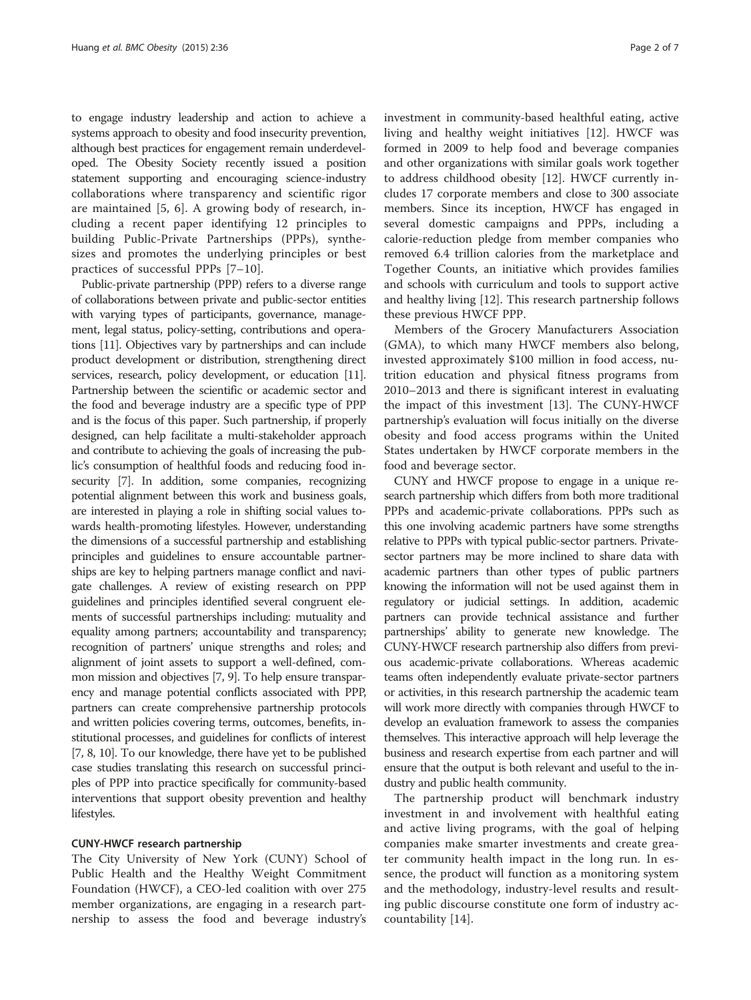to engage industry leadership and action to achieve a systems approach to obesity and food insecurity prevention, although best practices for engagement remain underdeveloped. The Obesity Society recently issued a position statement supporting and encouraging science-industry collaborations where transparency and scientific rigor are maintained [\[5](#page-6-0), [6](#page-6-0)]. A growing body of research, including a recent paper identifying 12 principles to building Public-Private Partnerships (PPPs), synthesizes and promotes the underlying principles or best practices of successful PPPs [[7](#page-6-0)–[10\]](#page-6-0).

Public-private partnership (PPP) refers to a diverse range of collaborations between private and public-sector entities with varying types of participants, governance, management, legal status, policy-setting, contributions and operations [\[11\]](#page-6-0). Objectives vary by partnerships and can include product development or distribution, strengthening direct services, research, policy development, or education [\[11](#page-6-0)]. Partnership between the scientific or academic sector and the food and beverage industry are a specific type of PPP and is the focus of this paper. Such partnership, if properly designed, can help facilitate a multi-stakeholder approach and contribute to achieving the goals of increasing the public's consumption of healthful foods and reducing food insecurity [\[7](#page-6-0)]. In addition, some companies, recognizing potential alignment between this work and business goals, are interested in playing a role in shifting social values towards health-promoting lifestyles. However, understanding the dimensions of a successful partnership and establishing principles and guidelines to ensure accountable partnerships are key to helping partners manage conflict and navigate challenges. A review of existing research on PPP guidelines and principles identified several congruent elements of successful partnerships including: mutuality and equality among partners; accountability and transparency; recognition of partners' unique strengths and roles; and alignment of joint assets to support a well-defined, common mission and objectives [\[7, 9](#page-6-0)]. To help ensure transparency and manage potential conflicts associated with PPP, partners can create comprehensive partnership protocols and written policies covering terms, outcomes, benefits, institutional processes, and guidelines for conflicts of interest [[7](#page-6-0), [8, 10\]](#page-6-0). To our knowledge, there have yet to be published case studies translating this research on successful principles of PPP into practice specifically for community-based interventions that support obesity prevention and healthy lifestyles.

# CUNY-HWCF research partnership

The City University of New York (CUNY) School of Public Health and the Healthy Weight Commitment Foundation (HWCF), a CEO-led coalition with over 275 member organizations, are engaging in a research partnership to assess the food and beverage industry's

investment in community-based healthful eating, active living and healthy weight initiatives [\[12\]](#page-6-0). HWCF was formed in 2009 to help food and beverage companies and other organizations with similar goals work together to address childhood obesity [\[12\]](#page-6-0). HWCF currently includes 17 corporate members and close to 300 associate members. Since its inception, HWCF has engaged in several domestic campaigns and PPPs, including a calorie-reduction pledge from member companies who removed 6.4 trillion calories from the marketplace and Together Counts, an initiative which provides families and schools with curriculum and tools to support active and healthy living [[12\]](#page-6-0). This research partnership follows these previous HWCF PPP.

Members of the Grocery Manufacturers Association (GMA), to which many HWCF members also belong, invested approximately \$100 million in food access, nutrition education and physical fitness programs from 2010–2013 and there is significant interest in evaluating the impact of this investment [[13](#page-6-0)]. The CUNY-HWCF partnership's evaluation will focus initially on the diverse obesity and food access programs within the United States undertaken by HWCF corporate members in the food and beverage sector.

CUNY and HWCF propose to engage in a unique research partnership which differs from both more traditional PPPs and academic-private collaborations. PPPs such as this one involving academic partners have some strengths relative to PPPs with typical public-sector partners. Privatesector partners may be more inclined to share data with academic partners than other types of public partners knowing the information will not be used against them in regulatory or judicial settings. In addition, academic partners can provide technical assistance and further partnerships' ability to generate new knowledge. The CUNY-HWCF research partnership also differs from previous academic-private collaborations. Whereas academic teams often independently evaluate private-sector partners or activities, in this research partnership the academic team will work more directly with companies through HWCF to develop an evaluation framework to assess the companies themselves. This interactive approach will help leverage the business and research expertise from each partner and will ensure that the output is both relevant and useful to the industry and public health community.

The partnership product will benchmark industry investment in and involvement with healthful eating and active living programs, with the goal of helping companies make smarter investments and create greater community health impact in the long run. In essence, the product will function as a monitoring system and the methodology, industry-level results and resulting public discourse constitute one form of industry accountability [\[14](#page-6-0)].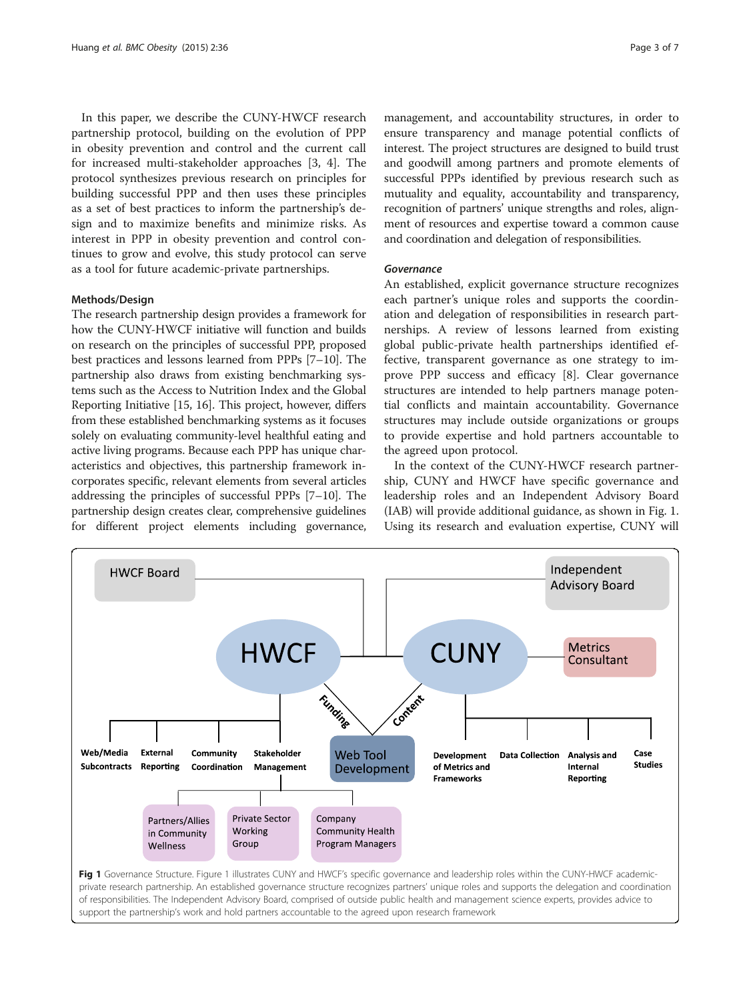In this paper, we describe the CUNY-HWCF research partnership protocol, building on the evolution of PPP in obesity prevention and control and the current call for increased multi-stakeholder approaches [\[3](#page-6-0), [4](#page-6-0)]. The protocol synthesizes previous research on principles for building successful PPP and then uses these principles as a set of best practices to inform the partnership's design and to maximize benefits and minimize risks. As interest in PPP in obesity prevention and control continues to grow and evolve, this study protocol can serve as a tool for future academic-private partnerships.

# Methods/Design

The research partnership design provides a framework for how the CUNY-HWCF initiative will function and builds on research on the principles of successful PPP, proposed best practices and lessons learned from PPPs [[7](#page-6-0)–[10](#page-6-0)]. The partnership also draws from existing benchmarking systems such as the Access to Nutrition Index and the Global Reporting Initiative [[15](#page-6-0), [16](#page-6-0)]. This project, however, differs from these established benchmarking systems as it focuses solely on evaluating community-level healthful eating and active living programs. Because each PPP has unique characteristics and objectives, this partnership framework incorporates specific, relevant elements from several articles addressing the principles of successful PPPs [\[7](#page-6-0)–[10](#page-6-0)]. The partnership design creates clear, comprehensive guidelines for different project elements including governance,

management, and accountability structures, in order to ensure transparency and manage potential conflicts of interest. The project structures are designed to build trust and goodwill among partners and promote elements of successful PPPs identified by previous research such as mutuality and equality, accountability and transparency, recognition of partners' unique strengths and roles, alignment of resources and expertise toward a common cause and coordination and delegation of responsibilities.

# Governance

An established, explicit governance structure recognizes each partner's unique roles and supports the coordination and delegation of responsibilities in research partnerships. A review of lessons learned from existing global public-private health partnerships identified effective, transparent governance as one strategy to improve PPP success and efficacy [\[8](#page-6-0)]. Clear governance structures are intended to help partners manage potential conflicts and maintain accountability. Governance structures may include outside organizations or groups to provide expertise and hold partners accountable to the agreed upon protocol.

In the context of the CUNY-HWCF research partnership, CUNY and HWCF have specific governance and leadership roles and an Independent Advisory Board (IAB) will provide additional guidance, as shown in Fig. 1. Using its research and evaluation expertise, CUNY will

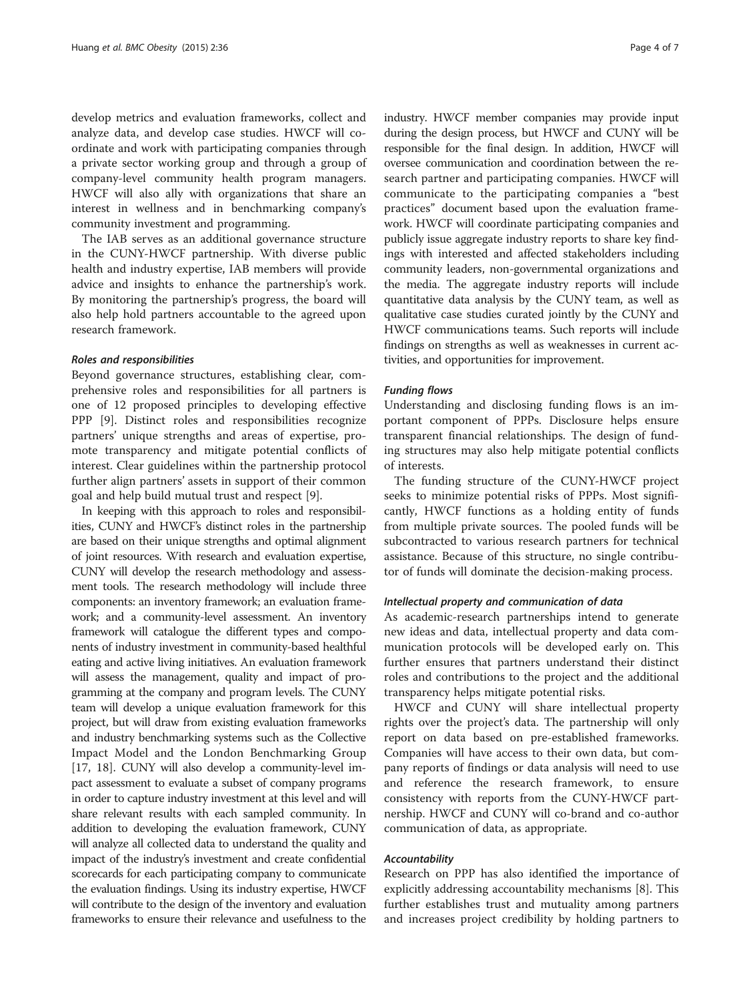develop metrics and evaluation frameworks, collect and analyze data, and develop case studies. HWCF will coordinate and work with participating companies through a private sector working group and through a group of company-level community health program managers. HWCF will also ally with organizations that share an interest in wellness and in benchmarking company's community investment and programming.

The IAB serves as an additional governance structure in the CUNY-HWCF partnership. With diverse public health and industry expertise, IAB members will provide advice and insights to enhance the partnership's work. By monitoring the partnership's progress, the board will also help hold partners accountable to the agreed upon research framework.

# Roles and responsibilities

Beyond governance structures, establishing clear, comprehensive roles and responsibilities for all partners is one of 12 proposed principles to developing effective PPP [[9\]](#page-6-0). Distinct roles and responsibilities recognize partners' unique strengths and areas of expertise, promote transparency and mitigate potential conflicts of interest. Clear guidelines within the partnership protocol further align partners' assets in support of their common goal and help build mutual trust and respect [[9\]](#page-6-0).

In keeping with this approach to roles and responsibilities, CUNY and HWCF's distinct roles in the partnership are based on their unique strengths and optimal alignment of joint resources. With research and evaluation expertise, CUNY will develop the research methodology and assessment tools. The research methodology will include three components: an inventory framework; an evaluation framework; and a community-level assessment. An inventory framework will catalogue the different types and components of industry investment in community-based healthful eating and active living initiatives. An evaluation framework will assess the management, quality and impact of programming at the company and program levels. The CUNY team will develop a unique evaluation framework for this project, but will draw from existing evaluation frameworks and industry benchmarking systems such as the Collective Impact Model and the London Benchmarking Group [[17, 18\]](#page-6-0). CUNY will also develop a community-level impact assessment to evaluate a subset of company programs in order to capture industry investment at this level and will share relevant results with each sampled community. In addition to developing the evaluation framework, CUNY will analyze all collected data to understand the quality and impact of the industry's investment and create confidential scorecards for each participating company to communicate the evaluation findings. Using its industry expertise, HWCF will contribute to the design of the inventory and evaluation frameworks to ensure their relevance and usefulness to the industry. HWCF member companies may provide input during the design process, but HWCF and CUNY will be responsible for the final design. In addition, HWCF will oversee communication and coordination between the research partner and participating companies. HWCF will communicate to the participating companies a "best practices" document based upon the evaluation framework. HWCF will coordinate participating companies and publicly issue aggregate industry reports to share key findings with interested and affected stakeholders including community leaders, non-governmental organizations and the media. The aggregate industry reports will include quantitative data analysis by the CUNY team, as well as qualitative case studies curated jointly by the CUNY and HWCF communications teams. Such reports will include findings on strengths as well as weaknesses in current activities, and opportunities for improvement.

# Funding flows

Understanding and disclosing funding flows is an important component of PPPs. Disclosure helps ensure transparent financial relationships. The design of funding structures may also help mitigate potential conflicts of interests.

The funding structure of the CUNY-HWCF project seeks to minimize potential risks of PPPs. Most significantly, HWCF functions as a holding entity of funds from multiple private sources. The pooled funds will be subcontracted to various research partners for technical assistance. Because of this structure, no single contributor of funds will dominate the decision-making process.

# Intellectual property and communication of data

As academic-research partnerships intend to generate new ideas and data, intellectual property and data communication protocols will be developed early on. This further ensures that partners understand their distinct roles and contributions to the project and the additional transparency helps mitigate potential risks.

HWCF and CUNY will share intellectual property rights over the project's data. The partnership will only report on data based on pre-established frameworks. Companies will have access to their own data, but company reports of findings or data analysis will need to use and reference the research framework, to ensure consistency with reports from the CUNY-HWCF partnership. HWCF and CUNY will co-brand and co-author communication of data, as appropriate.

### Accountability

Research on PPP has also identified the importance of explicitly addressing accountability mechanisms [\[8](#page-6-0)]. This further establishes trust and mutuality among partners and increases project credibility by holding partners to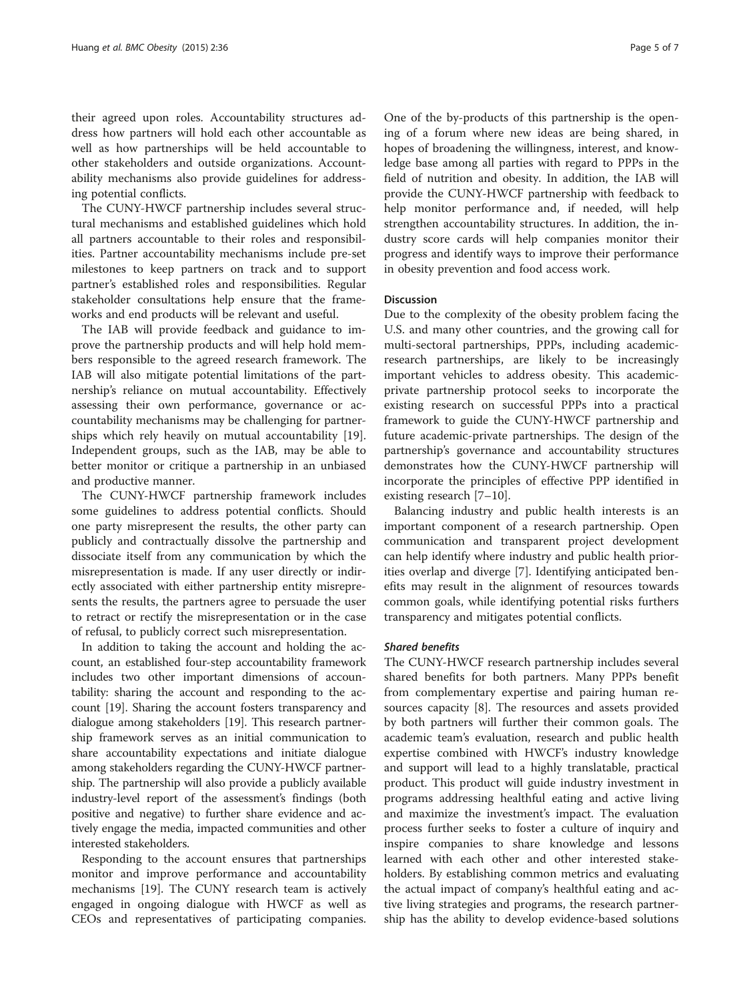their agreed upon roles. Accountability structures address how partners will hold each other accountable as well as how partnerships will be held accountable to other stakeholders and outside organizations. Accountability mechanisms also provide guidelines for addressing potential conflicts.

The CUNY-HWCF partnership includes several structural mechanisms and established guidelines which hold all partners accountable to their roles and responsibilities. Partner accountability mechanisms include pre-set milestones to keep partners on track and to support partner's established roles and responsibilities. Regular stakeholder consultations help ensure that the frameworks and end products will be relevant and useful.

The IAB will provide feedback and guidance to improve the partnership products and will help hold members responsible to the agreed research framework. The IAB will also mitigate potential limitations of the partnership's reliance on mutual accountability. Effectively assessing their own performance, governance or accountability mechanisms may be challenging for partnerships which rely heavily on mutual accountability [\[19](#page-6-0)]. Independent groups, such as the IAB, may be able to better monitor or critique a partnership in an unbiased and productive manner.

The CUNY-HWCF partnership framework includes some guidelines to address potential conflicts. Should one party misrepresent the results, the other party can publicly and contractually dissolve the partnership and dissociate itself from any communication by which the misrepresentation is made. If any user directly or indirectly associated with either partnership entity misrepresents the results, the partners agree to persuade the user to retract or rectify the misrepresentation or in the case of refusal, to publicly correct such misrepresentation.

In addition to taking the account and holding the account, an established four-step accountability framework includes two other important dimensions of accountability: sharing the account and responding to the account [\[19](#page-6-0)]. Sharing the account fosters transparency and dialogue among stakeholders [\[19\]](#page-6-0). This research partnership framework serves as an initial communication to share accountability expectations and initiate dialogue among stakeholders regarding the CUNY-HWCF partnership. The partnership will also provide a publicly available industry-level report of the assessment's findings (both positive and negative) to further share evidence and actively engage the media, impacted communities and other interested stakeholders.

Responding to the account ensures that partnerships monitor and improve performance and accountability mechanisms [[19](#page-6-0)]. The CUNY research team is actively engaged in ongoing dialogue with HWCF as well as CEOs and representatives of participating companies.

One of the by-products of this partnership is the opening of a forum where new ideas are being shared, in hopes of broadening the willingness, interest, and knowledge base among all parties with regard to PPPs in the field of nutrition and obesity. In addition, the IAB will provide the CUNY-HWCF partnership with feedback to help monitor performance and, if needed, will help strengthen accountability structures. In addition, the industry score cards will help companies monitor their progress and identify ways to improve their performance in obesity prevention and food access work.

# **Discussion**

Due to the complexity of the obesity problem facing the U.S. and many other countries, and the growing call for multi-sectoral partnerships, PPPs, including academicresearch partnerships, are likely to be increasingly important vehicles to address obesity. This academicprivate partnership protocol seeks to incorporate the existing research on successful PPPs into a practical framework to guide the CUNY-HWCF partnership and future academic-private partnerships. The design of the partnership's governance and accountability structures demonstrates how the CUNY-HWCF partnership will incorporate the principles of effective PPP identified in existing research [\[7](#page-6-0)–[10\]](#page-6-0).

Balancing industry and public health interests is an important component of a research partnership. Open communication and transparent project development can help identify where industry and public health priorities overlap and diverge [\[7](#page-6-0)]. Identifying anticipated benefits may result in the alignment of resources towards common goals, while identifying potential risks furthers transparency and mitigates potential conflicts.

# Shared benefits

The CUNY-HWCF research partnership includes several shared benefits for both partners. Many PPPs benefit from complementary expertise and pairing human resources capacity [\[8](#page-6-0)]. The resources and assets provided by both partners will further their common goals. The academic team's evaluation, research and public health expertise combined with HWCF's industry knowledge and support will lead to a highly translatable, practical product. This product will guide industry investment in programs addressing healthful eating and active living and maximize the investment's impact. The evaluation process further seeks to foster a culture of inquiry and inspire companies to share knowledge and lessons learned with each other and other interested stakeholders. By establishing common metrics and evaluating the actual impact of company's healthful eating and active living strategies and programs, the research partnership has the ability to develop evidence-based solutions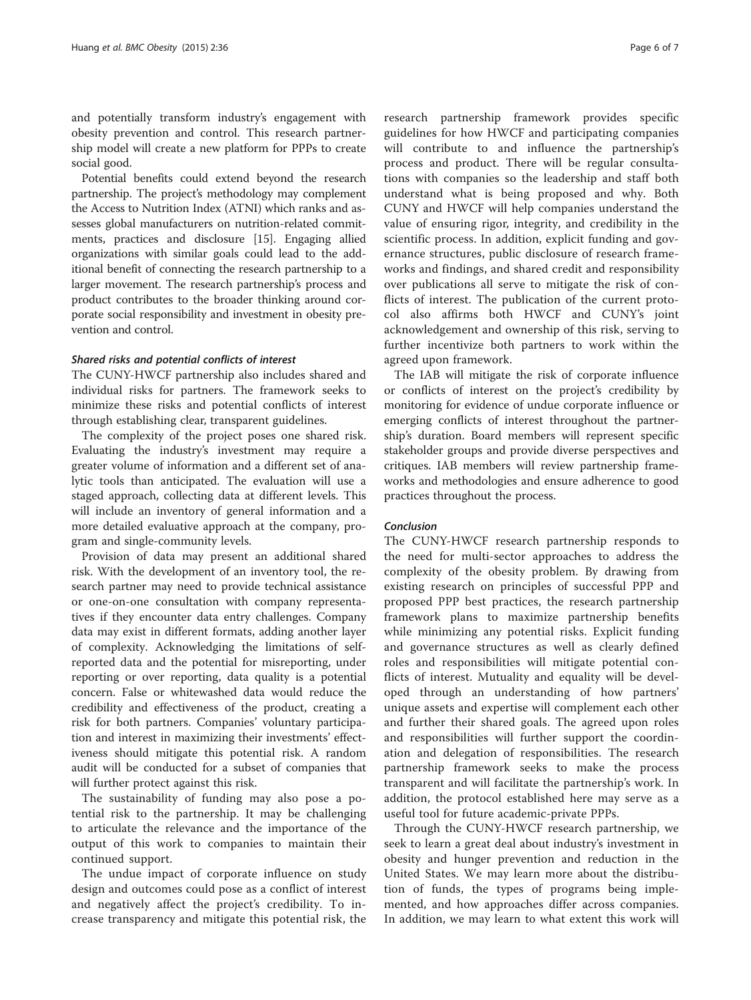and potentially transform industry's engagement with obesity prevention and control. This research partnership model will create a new platform for PPPs to create social good.

Potential benefits could extend beyond the research partnership. The project's methodology may complement the Access to Nutrition Index (ATNI) which ranks and assesses global manufacturers on nutrition-related commitments, practices and disclosure [\[15\]](#page-6-0). Engaging allied organizations with similar goals could lead to the additional benefit of connecting the research partnership to a larger movement. The research partnership's process and product contributes to the broader thinking around corporate social responsibility and investment in obesity prevention and control.

# Shared risks and potential conflicts of interest

The CUNY-HWCF partnership also includes shared and individual risks for partners. The framework seeks to minimize these risks and potential conflicts of interest through establishing clear, transparent guidelines.

The complexity of the project poses one shared risk. Evaluating the industry's investment may require a greater volume of information and a different set of analytic tools than anticipated. The evaluation will use a staged approach, collecting data at different levels. This will include an inventory of general information and a more detailed evaluative approach at the company, program and single-community levels.

Provision of data may present an additional shared risk. With the development of an inventory tool, the research partner may need to provide technical assistance or one-on-one consultation with company representatives if they encounter data entry challenges. Company data may exist in different formats, adding another layer of complexity. Acknowledging the limitations of selfreported data and the potential for misreporting, under reporting or over reporting, data quality is a potential concern. False or whitewashed data would reduce the credibility and effectiveness of the product, creating a risk for both partners. Companies' voluntary participation and interest in maximizing their investments' effectiveness should mitigate this potential risk. A random audit will be conducted for a subset of companies that will further protect against this risk.

The sustainability of funding may also pose a potential risk to the partnership. It may be challenging to articulate the relevance and the importance of the output of this work to companies to maintain their continued support.

The undue impact of corporate influence on study design and outcomes could pose as a conflict of interest and negatively affect the project's credibility. To increase transparency and mitigate this potential risk, the

research partnership framework provides specific guidelines for how HWCF and participating companies will contribute to and influence the partnership's process and product. There will be regular consultations with companies so the leadership and staff both understand what is being proposed and why. Both CUNY and HWCF will help companies understand the value of ensuring rigor, integrity, and credibility in the scientific process. In addition, explicit funding and governance structures, public disclosure of research frameworks and findings, and shared credit and responsibility over publications all serve to mitigate the risk of conflicts of interest. The publication of the current protocol also affirms both HWCF and CUNY's joint acknowledgement and ownership of this risk, serving to further incentivize both partners to work within the agreed upon framework.

The IAB will mitigate the risk of corporate influence or conflicts of interest on the project's credibility by monitoring for evidence of undue corporate influence or emerging conflicts of interest throughout the partnership's duration. Board members will represent specific stakeholder groups and provide diverse perspectives and critiques. IAB members will review partnership frameworks and methodologies and ensure adherence to good practices throughout the process.

# Conclusion

The CUNY-HWCF research partnership responds to the need for multi-sector approaches to address the complexity of the obesity problem. By drawing from existing research on principles of successful PPP and proposed PPP best practices, the research partnership framework plans to maximize partnership benefits while minimizing any potential risks. Explicit funding and governance structures as well as clearly defined roles and responsibilities will mitigate potential conflicts of interest. Mutuality and equality will be developed through an understanding of how partners' unique assets and expertise will complement each other and further their shared goals. The agreed upon roles and responsibilities will further support the coordination and delegation of responsibilities. The research partnership framework seeks to make the process transparent and will facilitate the partnership's work. In addition, the protocol established here may serve as a useful tool for future academic-private PPPs.

Through the CUNY-HWCF research partnership, we seek to learn a great deal about industry's investment in obesity and hunger prevention and reduction in the United States. We may learn more about the distribution of funds, the types of programs being implemented, and how approaches differ across companies. In addition, we may learn to what extent this work will